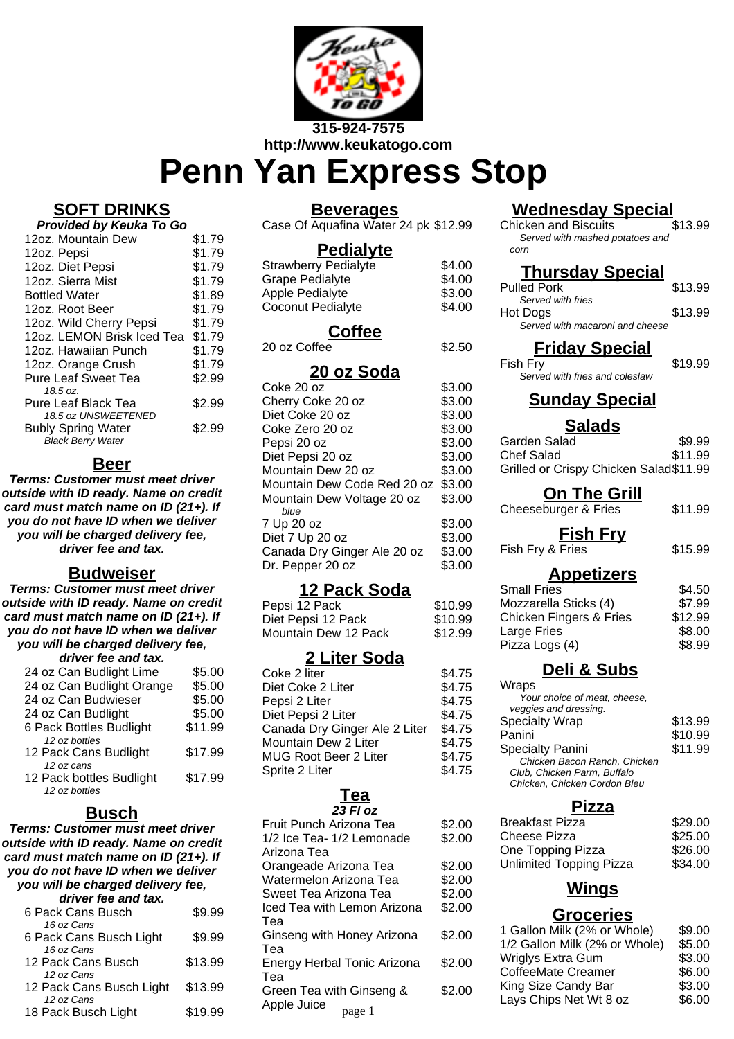

# **Penn Yan Express Stop**

# **SOFT DRINKS**

| Provided by Keuka To Go                          |        |  |
|--------------------------------------------------|--------|--|
| 12oz. Mountain Dew                               | \$1.79 |  |
| 12oz. Pepsi                                      | \$1.79 |  |
| 12oz. Diet Pepsi                                 | \$1.79 |  |
| 12oz. Sierra Mist                                | \$1.79 |  |
| <b>Bottled Water</b>                             | \$1.89 |  |
| 12oz. Root Beer                                  | \$1.79 |  |
| 12oz. Wild Cherry Pepsi                          | \$1.79 |  |
| 12oz. LEMON Brisk Iced Tea                       | \$1.79 |  |
| 12oz. Hawaiian Punch                             | \$1.79 |  |
| 12oz. Orange Crush                               | \$1.79 |  |
| Pure Leaf Sweet Tea                              | \$2.99 |  |
| 18.5 oz.                                         |        |  |
| Pure Leaf Black Tea                              | \$2.99 |  |
| 18.5 oz UNSWEETENED<br><b>Bubly Spring Water</b> | \$2.99 |  |
| <b>Black Berry Water</b>                         |        |  |

# **Beer**

**Terms: Customer must meet driver outside with ID ready. Name on credit card must match name on ID (21+). If you do not have ID when we deliver you will be charged delivery fee, driver fee and tax.**

# **Budweiser**

**Terms: Customer must meet driver outside with ID ready. Name on credit card must match name on ID (21+). If you do not have ID when we deliver you will be charged delivery fee,**

| driver fee and tax.       |         |
|---------------------------|---------|
| 24 oz Can Budlight Lime   | \$5.00  |
| 24 oz Can Budlight Orange | \$5.00  |
| 24 oz Can Budwieser       | \$5.00  |
| 24 oz Can Budlight        | \$5.00  |
| 6 Pack Bottles Budlight   | \$11.99 |
| 12 oz bottles             |         |
| 12 Pack Cans Budlight     | \$17.99 |
| 12 oz cans                |         |
| 12 Pack bottles Budlight  | \$17.99 |
| 12 oz bottles             |         |
|                           |         |

# **Busch**

**Terms: Customer must meet driver outside with ID ready. Name on credit card must match name on ID (21+). If you do not have ID when we deliver you will be charged delivery fee,**

| driver fee and tax.      |         |
|--------------------------|---------|
| 6 Pack Cans Busch        | \$9.99  |
| 16 oz Cans               |         |
| 6 Pack Cans Busch Light  | \$9.99  |
| 16 oz Cans               |         |
| 12 Pack Cans Busch       | \$13.99 |
| 12 oz Cans               |         |
| 12 Pack Cans Busch Light | \$13.99 |
| 12 oz Cans               |         |
| 18 Pack Busch Light      | \$19.99 |
|                          |         |

# **Beverages**

Case Of Aquafina Water 24 pk \$12.99

### **Pedialyte**

| <b>Strawberry Pedialyte</b> | \$4.00 |
|-----------------------------|--------|
| <b>Grape Pedialyte</b>      | \$4.00 |
| Apple Pedialyte             | \$3.00 |
| Coconut Pedialyte           | \$4.00 |
|                             |        |

# **Coffee**

20 oz Coffee  $$2.50$ 

# **20 oz Soda**

| Coke 20 oz                  | \$3.00 |
|-----------------------------|--------|
| Cherry Coke 20 oz           | \$3.00 |
| Diet Coke 20 oz             | \$3.00 |
| Coke Zero 20 oz             | \$3.00 |
| Pepsi 20 oz                 | \$3.00 |
| Diet Pepsi 20 oz            | \$3.00 |
| Mountain Dew 20 oz          | \$3.00 |
| Mountain Dew Code Red 20 oz | \$3.00 |
| Mountain Dew Voltage 20 oz  | \$3.00 |
| blue                        |        |
| 7 Up 20 oz                  | \$3.00 |
| Diet 7 Up 20 oz             | \$3.00 |
| Canada Dry Ginger Ale 20 oz | \$3.00 |
| Dr. Pepper 20 oz            | \$3.00 |

# **12 Pack Soda**

| Pepsi 12 Pack        | \$10.99 |
|----------------------|---------|
| Diet Pepsi 12 Pack   | \$10.99 |
| Mountain Dew 12 Pack | \$12.99 |

# **2 Liter Soda**

| Coke 2 liter                  | \$4.75 |
|-------------------------------|--------|
| Diet Coke 2 Liter             | \$4.75 |
| Pepsi 2 Liter                 | \$4.75 |
| Diet Pepsi 2 Liter            | \$4.75 |
| Canada Dry Ginger Ale 2 Liter | \$4.75 |
| Mountain Dew 2 Liter          | \$4.75 |
| <b>MUG Root Beer 2 Liter</b>  | \$4.75 |
| Sprite 2 Liter                | \$4.75 |
|                               |        |

#### **Tea 23 Fl oz**

| Fruit Punch Arizona Tea     | \$2.00 |
|-----------------------------|--------|
| 1/2 Ice Tea- 1/2 Lemonade   | \$2.00 |
| Arizona Tea                 |        |
| Orangeade Arizona Tea       | \$2.00 |
| Watermelon Arizona Tea      | \$2.00 |
| Sweet Tea Arizona Tea       | \$2.00 |
| Iced Tea with Lemon Arizona | \$2.00 |
| Tea                         |        |
| Ginseng with Honey Arizona  | \$2.00 |
| Tea                         |        |
| Energy Herbal Tonic Arizona | \$2.00 |
| Tea                         |        |
| Green Tea with Ginseng &    | \$2.00 |
| Apple Juice<br>page 1       |        |
|                             |        |

# **Wednesday Special**<br>hicken and Biscuits 513.99

Chicken and Biscuits Served with mashed potatoes and corn

# **Thursday Special**

| <b>Pulled Pork</b>              | \$13.99 |
|---------------------------------|---------|
| Served with fries               |         |
| Hot Dogs                        | \$13.99 |
| Served with macaroni and cheese |         |

# **Friday Special**

Fish Fry \$19.99 Served with fries and coleslaw

# **Sunday Special**

#### **Salads**

| Garden Salad                           | \$9.99  |
|----------------------------------------|---------|
| Chef Salad                             | \$11.99 |
| Grilled or Crispy Chicken Salad\$11.99 |         |

# **On The Grill**

Cheeseburger & Fries \$11.99

**Fish Fry**

Fish Fry & Fries \$15.99

# **Appetizers**

| <b>Small Fries</b>                 | \$4.50  |
|------------------------------------|---------|
| Mozzarella Sticks (4)              | \$7.99  |
| <b>Chicken Fingers &amp; Fries</b> | \$12.99 |
| Large Fries                        | \$8.00  |
| Pizza Logs (4)                     | \$8.99  |
|                                    |         |

# **Deli & Subs**

| Wraps                        |         |
|------------------------------|---------|
| Your choice of meat, cheese, |         |
| veggies and dressing.        |         |
| <b>Specialty Wrap</b>        | \$13.99 |
| Panini                       | \$10.99 |
| <b>Specialty Panini</b>      | \$11.99 |
| Chicken Bacon Ranch, Chicken |         |
| Club, Chicken Parm, Buffalo  |         |
| Chicken, Chicken Cordon Bleu |         |

# **Pizza**

| <b>Breakfast Pizza</b>         | \$29.00 |
|--------------------------------|---------|
| Cheese Pizza                   | \$25.00 |
| One Topping Pizza              | \$26.00 |
| <b>Unlimited Topping Pizza</b> | \$34.00 |
|                                |         |

# **Wings**

# **Groceries**

| 1 Gallon Milk (2% or Whole)   | \$9.00 |
|-------------------------------|--------|
| 1/2 Gallon Milk (2% or Whole) | \$5.00 |
| Wriglys Extra Gum             | \$3.00 |
| <b>CoffeeMate Creamer</b>     | \$6.00 |
| King Size Candy Bar           | \$3.00 |
| Lays Chips Net Wt 8 oz        | \$6.00 |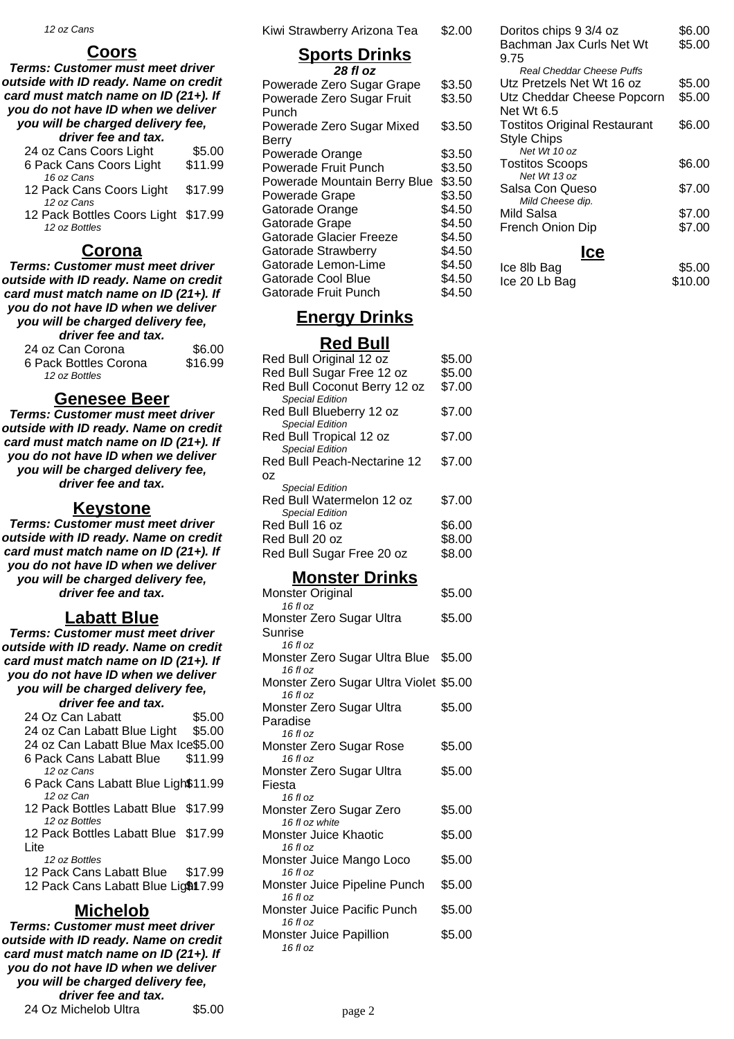#### **Coors**

**Terms: Customer must meet driver outside with ID ready. Name on credit card must match name on ID (21+). If you do not have ID when we deliver you will be charged delivery fee,**

| driver fee and tax.       |         |
|---------------------------|---------|
| 24 oz Cans Coors Light    | \$5.00  |
| 6 Pack Cans Coors Light   | \$11.99 |
| 16 oz Cans                |         |
| 10 Dool: Cano Cooro Light | 01700   |

- 12 Pack Cans Coors Light \$17.99 12 oz Cans
- 12 Pack Bottles Coors Light \$17.99 12 oz Bottles

#### **Corona**

**Terms: Customer must meet driver outside with ID ready. Name on credit card must match name on ID (21+). If you do not have ID when we deliver you will be charged delivery fee,**

| driver fee and tax.   |         |
|-----------------------|---------|
| 24 oz Can Corona      | \$6.00  |
| 6 Pack Bottles Corona | \$16.99 |
| 12 oz Bottles         |         |

#### **Genesee Beer**

**Terms: Customer must meet driver outside with ID ready. Name on credit card must match name on ID (21+). If you do not have ID when we deliver you will be charged delivery fee, driver fee and tax.**

#### **Keystone**

**Terms: Customer must meet driver outside with ID ready. Name on credit card must match name on ID (21+). If you do not have ID when we deliver you will be charged delivery fee, driver fee and tax.**

#### **Labatt Blue**

**Terms: Customer must meet driver outside with ID ready. Name on credit card must match name on ID (21+). If you do not have ID when we deliver you will be charged delivery fee,**

| driver fee and tax.                              |  |
|--------------------------------------------------|--|
| 24 Oz Can Labatt<br>\$5.00                       |  |
| \$5.00<br>24 oz Can Labatt Blue Light            |  |
| 24 oz Can Labatt Blue Max Ice\$5.00              |  |
| \$11.99<br>6 Pack Cans Labatt Blue<br>12 oz Cans |  |
| 6 Pack Cans Labatt Blue Ligh\$11.99              |  |
| 12 oz Can                                        |  |
| 12 Pack Bottles Labatt Blue \$17.99              |  |
| 12 oz Bottles                                    |  |
| 12 Pack Bottles Labatt Blue \$17.99              |  |
| Lite                                             |  |
| 12 oz Bottles                                    |  |
| 12 Pack Cans Labatt Blue \$17.99                 |  |
| 12 Pack Cans Labatt Blue Lig\$17.99              |  |
| Michelo                                          |  |

**Terms: Customer must meet driver outside with ID ready. Name on credit card must match name on ID (21+). If you do not have ID when we deliver you will be charged delivery fee, driver fee and tax.** 24 Oz Michelob Ultra  $$5.00$  Kiwi Strawberry Arizona Tea \$2.00

# **Sports Drinks**

| 28 fl oz                     |        |
|------------------------------|--------|
| Powerade Zero Sugar Grape    | \$3.50 |
| Powerade Zero Sugar Fruit    | \$3.50 |
| Punch                        |        |
| Powerade Zero Sugar Mixed    | \$3.50 |
| Berry                        |        |
| Powerade Orange              | \$3.50 |
| Powerade Fruit Punch         | \$3.50 |
| Powerade Mountain Berry Blue | \$3.50 |
| Powerade Grape               | \$3.50 |
| Gatorade Orange              | \$4.50 |
| Gatorade Grape               | \$4.50 |
| Gatorade Glacier Freeze      | \$4.50 |
| Gatorade Strawberry          | \$4.50 |
| Gatorade Lemon-Lime          | \$4.50 |
| Gatorade Cool Blue           | \$4.50 |
| Gatorade Fruit Punch         | \$4.50 |

# **Energy Drinks**

#### **Red Bull**

| Red Bull Original 12 oz      | \$5.00 |
|------------------------------|--------|
| Red Bull Sugar Free 12 oz    | \$5.00 |
| Red Bull Coconut Berry 12 oz | \$7.00 |
| <b>Special Edition</b>       |        |
| Red Bull Blueberry 12 oz     | \$7.00 |
| <b>Special Edition</b>       |        |
| Red Bull Tropical 12 oz      | \$7.00 |
| <b>Special Edition</b>       |        |
| Red Bull Peach-Nectarine 12  | \$7.00 |
| OΖ                           |        |
| <b>Special Edition</b>       |        |
| Red Bull Watermelon 12 oz    | \$7.00 |
| <b>Special Edition</b>       |        |
| Red Bull 16 oz               | \$6.00 |
| Red Bull 20 oz               | \$8.00 |
| Red Bull Sugar Free 20 oz    | \$8.00 |
|                              |        |

# **Monster Drinks**

| æ<br>. .<br>. .<br>Monster Original                | \$5.00 |
|----------------------------------------------------|--------|
| $16f$ l $0z$                                       |        |
| Monster Zero Sugar Ultra                           | \$5.00 |
| Sunrise                                            |        |
| $16f$ l $27$                                       |        |
| Monster Zero Sugar Ultra Blue \$5.00<br>16 fl $oz$ |        |
| Monster Zero Sugar Ultra Violet \$5.00             |        |
| $16f$ l oz                                         |        |
| Monster Zero Sugar Ultra                           | \$5.00 |
| Paradise                                           |        |
| $16f$ l oz                                         |        |
| Monster Zero Sugar Rose                            | \$5.00 |
| $16f$ l $0z$                                       |        |
| Monster Zero Sugar Ultra                           | \$5.00 |
| Fiesta                                             |        |
| $16f$ l oz                                         |        |
| Monster Zero Sugar Zero                            | \$5.00 |
| 16 fl oz white                                     |        |
| Monster Juice Khaotic<br>16 fl oz                  | \$5.00 |
| Monster Juice Mango Loco                           | \$5.00 |
| $16f$ l oz                                         |        |
| Monster Juice Pipeline Punch                       | \$5.00 |
| 16 fl oz                                           |        |
| Monster Juice Pacific Punch                        | \$5.00 |
| $16f$ l oz                                         |        |
| Monster Juice Papillion                            | \$5.00 |
| $16f$ l oz                                         |        |

| Doritos chips 9 3/4 oz              | \$6.00  |
|-------------------------------------|---------|
| Bachman Jax Curls Net Wt            | \$5.00  |
| 9.75                                |         |
| <b>Real Cheddar Cheese Puffs</b>    |         |
| Utz Pretzels Net Wt 16 oz           | \$5.00  |
| Utz Cheddar Cheese Popcorn          | \$5.00  |
| Net Wt 6.5                          |         |
| <b>Tostitos Original Restaurant</b> | \$6.00  |
| Style Chips                         |         |
| Net Wt 10 oz                        |         |
| <b>Tostitos Scoops</b>              | \$6.00  |
| Net Wt 13 oz                        |         |
| Salsa Con Queso                     | \$7.00  |
| Mild Cheese dip.                    |         |
| Mild Salsa                          | \$7.00  |
| French Onion Dip                    | \$7.00  |
| lce                                 |         |
|                                     |         |
| Ice 8lb Bag                         | \$5.00  |
| Ice 20 Lb Bag                       | \$10.00 |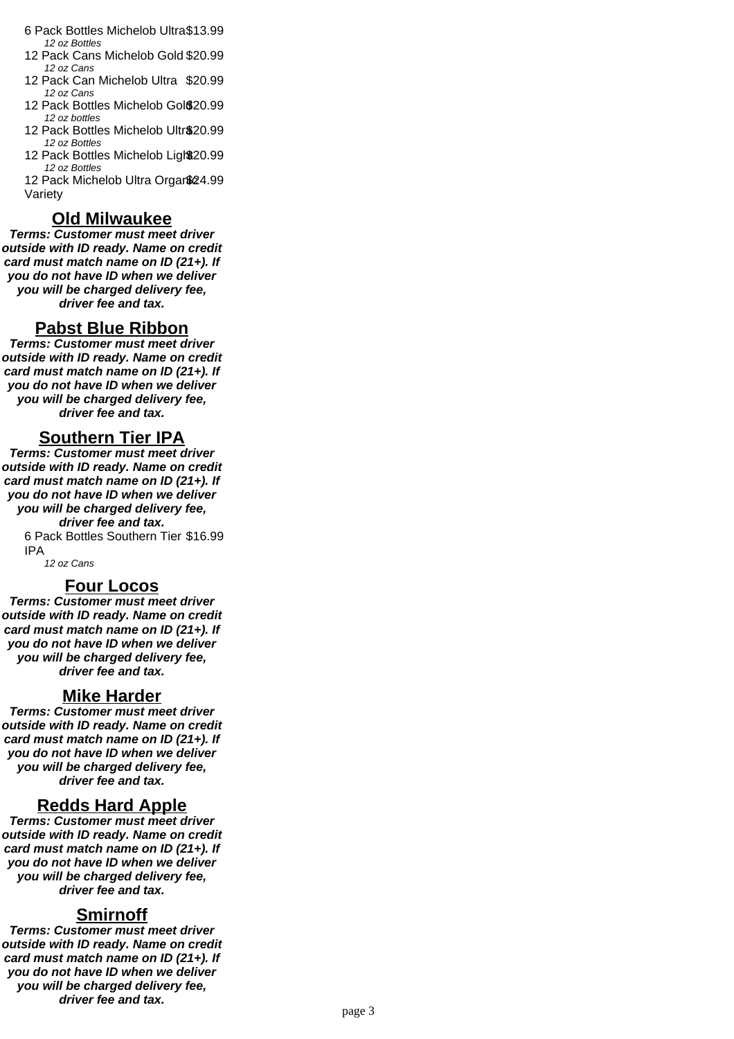- 6 Pack Bottles Michelob Ultra\$13.99 12 oz Bottles
- 12 Pack Cans Michelob Gold \$20.99 12 oz Cans
- 12 Pack Can Michelob Ultra \$20.99 12 oz Cans
- 12 Pack Bottles Michelob Gol \$20.99 12 oz bottles
- 12 Pack Bottles Michelob Ultr\$20.99 12 oz Bottles
- 12 Pack Bottles Michelob Light 20.99 12 oz Bottles

12 Pack Michelob Ultra Organ\$24.99 Variety

#### **Old Milwaukee**

**Terms: Customer must meet driver outside with ID ready. Name on credit card must match name on ID (21+). If you do not have ID when we deliver you will be charged delivery fee, driver fee and tax.**

#### **Pabst Blue Ribbon**

**Terms: Customer must meet driver outside with ID ready. Name on credit card must match name on ID (21+). If you do not have ID when we deliver you will be charged delivery fee, driver fee and tax.**

#### **Southern Tier IPA**

**Terms: Customer must meet driver outside with ID ready. Name on credit card must match name on ID (21+). If you do not have ID when we deliver you will be charged delivery fee, driver fee and tax.** 6 Pack Bottles Southern Tier \$16.99 IPA

12 oz Cans

#### **Four Locos**

**Terms: Customer must meet driver outside with ID ready. Name on credit card must match name on ID (21+). If you do not have ID when we deliver you will be charged delivery fee, driver fee and tax.**

#### **Mike Harder**

**Terms: Customer must meet driver outside with ID ready. Name on credit card must match name on ID (21+). If you do not have ID when we deliver you will be charged delivery fee, driver fee and tax.**

#### **Redds Hard Apple**

**Terms: Customer must meet driver outside with ID ready. Name on credit card must match name on ID (21+). If you do not have ID when we deliver you will be charged delivery fee, driver fee and tax.**

#### **Smirnoff**

**Terms: Customer must meet driver outside with ID ready. Name on credit card must match name on ID (21+). If you do not have ID when we deliver you will be charged delivery fee, driver fee and tax.**